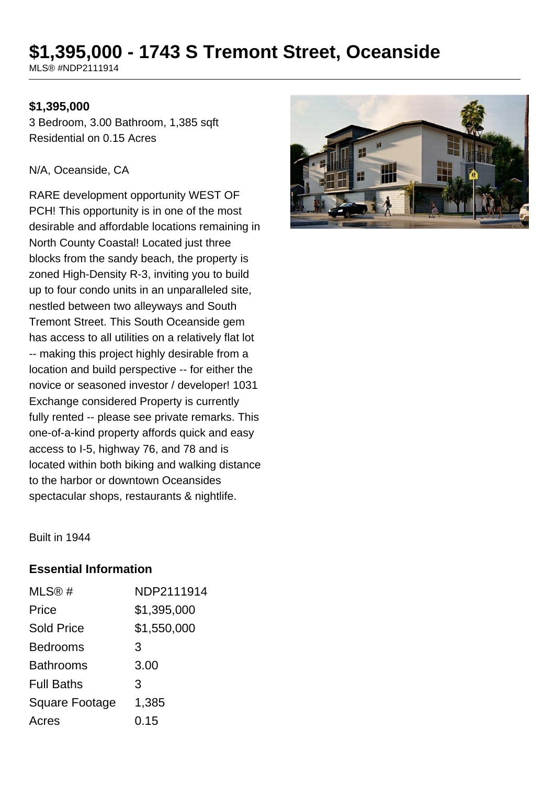# **\$1,395,000 - 1743 S Tremont Street, Oceanside**

MLS® #NDP2111914

#### **\$1,395,000**

3 Bedroom, 3.00 Bathroom, 1,385 sqft Residential on 0.15 Acres

#### N/A, Oceanside, CA

RARE development opportunity WEST OF PCH! This opportunity is in one of the most desirable and affordable locations remaining in North County Coastal! Located just three blocks from the sandy beach, the property is zoned High-Density R-3, inviting you to build up to four condo units in an unparalleled site, nestled between two alleyways and South Tremont Street. This South Oceanside gem has access to all utilities on a relatively flat lot -- making this project highly desirable from a location and build perspective -- for either the novice or seasoned investor / developer! 1031 Exchange considered Property is currently fully rented -- please see private remarks. This one-of-a-kind property affords quick and easy access to I-5, highway 76, and 78 and is located within both biking and walking distance to the harbor or downtown Oceansides spectacular shops, restaurants & nightlife.



Built in 1944

#### **Essential Information**

| MLS@#                 | NDP2111914  |
|-----------------------|-------------|
| Price                 | \$1,395,000 |
| <b>Sold Price</b>     | \$1,550,000 |
| <b>Bedrooms</b>       | 3           |
| <b>Bathrooms</b>      | 3.00        |
| <b>Full Baths</b>     | 3           |
| <b>Square Footage</b> | 1,385       |
| Acres                 | 0.15        |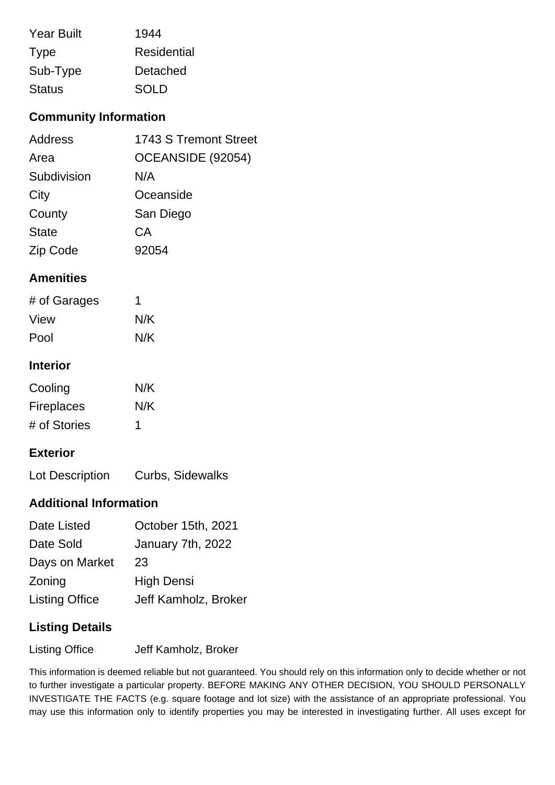| <b>Year Built</b> | 1944        |
|-------------------|-------------|
| <b>Type</b>       | Residential |
| Sub-Type          | Detached    |
| <b>Status</b>     | <b>SOLD</b> |

## **Community Information**

| Address      | 1743 S Tremont Street |
|--------------|-----------------------|
| Area         | OCEANSIDE (92054)     |
| Subdivision  | N/A                   |
| City         | Oceanside             |
| County       | San Diego             |
| <b>State</b> | CA                    |
| Zip Code     | 92054                 |

#### **Amenities**

| # of Garages | 1   |
|--------------|-----|
| View         | N/K |
| Pool         | N/K |

## **Interior**

| Cooling           | N/K |
|-------------------|-----|
| <b>Fireplaces</b> | N/K |
| # of Stories      | 1   |

### **Exterior**

Lot Description Curbs, Sidewalks

#### **Additional Information**

| Date Listed           | October 15th, 2021   |
|-----------------------|----------------------|
| Date Sold             | January 7th, 2022    |
| Days on Market        | 23                   |
| Zoning                | <b>High Densi</b>    |
| <b>Listing Office</b> | Jeff Kamholz, Broker |

### **Listing Details**

Listing Office **Jeff Kamholz, Broker** 

This information is deemed reliable but not guaranteed. You should rely on this information only to decide whether or not to further investigate a particular property. BEFORE MAKING ANY OTHER DECISION, YOU SHOULD PERSONALLY INVESTIGATE THE FACTS (e.g. square footage and lot size) with the assistance of an appropriate professional. You may use this information only to identify properties you may be interested in investigating further. All uses except for